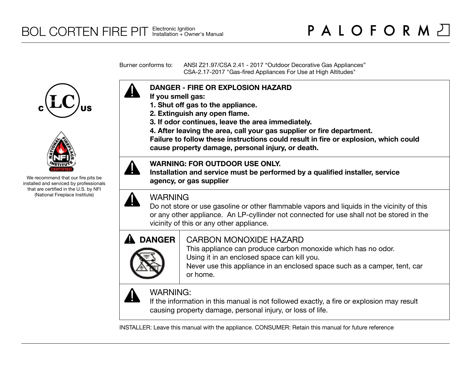Burner conforms to: ANSI Z21.97/CSA 2.41 - 2017 "Outdoor Decorative Gas Appliances" CSA-2.17-2017 "Gas-fired Appliances For Use at High Altitudes"





We recommend that our fire pits be installed and serviced by professionals that are certified in the U.S. by NFI (National Fireplace Institute)



- **If you smell gas:**
- **1. Shut off gas to the appliance.**
- **2. Extinguish any open flame.**
- **3. If odor continues, leave the area immediately.**
- **4. After leaving the area, call your gas supplier or fire department.**

**Failure to follow these instructions could result in fire or explosion, which could cause property damage, personal injury, or death.**

### **WARNING: FOR OUTDOOR USE ONLY.**

**Installation and service must be performed by a qualified installer, service agency, or gas supplier**



## WARNING

Do not store or use gasoline or other flammable vapors and liquids in the vicinity of this or any other appliance. An LP-cyllinder not connected for use shall not be stored in the vicinity of this or any other appliance.



# CARBON MONOXIDE HAZARD

This appliance can produce carbon monoxide which has no odor. Using it in an enclosed space can kill you.

Never use this appliance in an enclosed space such as a camper, tent, car or home.



# WARNING:

If the information in this manual is not followed exactly, a fire or explosion may result causing property damage, personal injury, or loss of life.

INSTALLER: Leave this manual with the appliance. CONSUMER: Retain this manual for future reference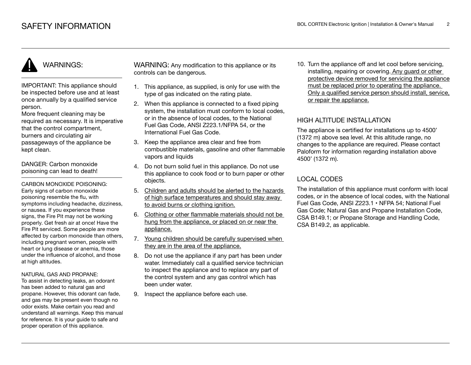# WARNINGS:

IMPORTANT: This appliance should be inspected before use and at least once annually by a qualified service person.

More frequent cleaning may be required as necessary. It is imperative that the control compartment, burners and circulating air passageways of the appliance be kept clean.

DANGER: Carbon monoxide poisoning can lead to death!

CARBON MONOXIDE POISONING: Early signs of carbon monoxide poisoning resemble the flu, with symptoms including headache, dizziness, or nausea. If you experience these signs, the Fire Pit may not be working properly. Get fresh air at once! Have the Fire Pit serviced. Some people are more affected by carbon monoxide than others, including pregnant women, people with heart or lung disease or anemia, those under the influence of alcohol, and those at high altitudes.

#### NATURAL GAS AND PROPANE:

To assist in detecting leaks, an odorant has been added to natural gas and propane. However, this odorant can fade, and gas may be present even though no odor exists. Make certain you read and understand all warnings. Keep this manual for reference. It is your guide to safe and proper operation of this appliance.

WARNING: Any modification to this appliance or its controls can be dangerous.

- 1. This appliance, as supplied, is only for use with the type of gas indicated on the rating plate.
- 2. When this appliance is connected to a fixed piping system, the installation must conform to local codes, or in the absence of local codes, to the National Fuel Gas Code, ANSI Z223.1/NFPA 54, or the International Fuel Gas Code.
- 3. Keep the appliance area clear and free from combustible materials, gasoline and other flammable vapors and liquids
- 4. Do not burn solid fuel in this appliance. Do not use this appliance to cook food or to burn paper or other objects.
- 5. Children and adults should be alerted to the hazards of high surface temperatures and should stay away to avoid burns or clothing ignition.
- 6. Clothing or other flammable materials should not be hung from the appliance, or placed on or near the appliance.
- 7. Young children should be carefully supervised when they are in the area of the appliance.
- 8. Do not use the appliance if any part has been under water. Immediately call a qualified service technician to inspect the appliance and to replace any part of the control system and any gas control which has been under water.
- 9. Inspect the appliance before each use.

10. Turn the appliance off and let cool before servicing, installing, repairing or covering. Any guard or other protective device removed for servicing the appliance must be replaced prior to operating the appliance. Only a qualified service person should install, service, or repair the appliance.

#### HIGH ALTITUDE INSTALLATION

The appliance is certified for installations up to 4500' (1372 m) above sea level. At this altitude range, no changes to the appliance are required. Please contact Paloform for information regarding installation above 4500' (1372 m).

### LOCAL CODES

The installation of this appliance must conform with local codes, or in the absence of local codes, with the National Fuel Gas Code, ANSI Z223.1 • NFPA 54; National Fuel Gas Code; Natural Gas and Propane Installation Code, CSA B149.1; or Propane Storage and Handling Code, CSA B149.2, as applicable.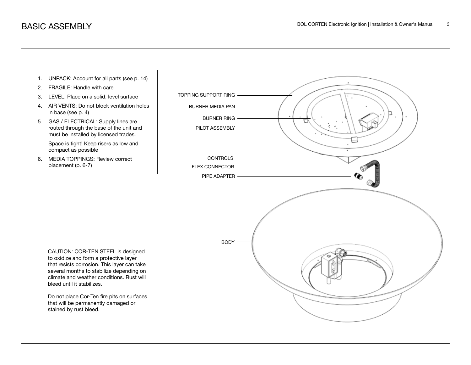

Do not place Cor-Ten fire pits on surfaces that will be permanently damaged or stained by rust bleed.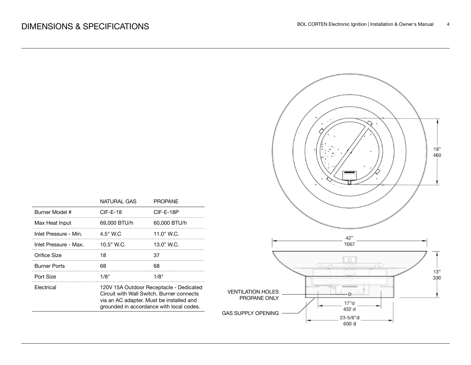|                                                                       |                                                     | 18"<br>460 |
|-----------------------------------------------------------------------|-----------------------------------------------------|------------|
|                                                                       | 42"<br>1067                                         |            |
| <b>VENTILATION HOLES</b><br>PROPANE ONLY<br><b>GAS SUPPLY OPENING</b> | пÉ<br>$\circ$<br>17"d<br>432 d<br>23-5/8"d<br>600 d | 13"<br>330 |

|                       | NATURAL GAS                                                                                                                                                                  | <b>PROPANE</b> |  |
|-----------------------|------------------------------------------------------------------------------------------------------------------------------------------------------------------------------|----------------|--|
| Burner Model #        | $CIF-E-18$                                                                                                                                                                   | CIF-E-18P      |  |
| Max Heat Input        | 69.000 BTU/h                                                                                                                                                                 | 60.000 BTU/h   |  |
| Inlet Pressure - Min. | $4.5"$ W.C                                                                                                                                                                   | 11.0" W.C.     |  |
| Inlet Pressure - Max. | 10.5" W.C.                                                                                                                                                                   | 13.0" W.C.     |  |
| Orifice Size          | 18                                                                                                                                                                           |                |  |
| <b>Burner Ports</b>   | 68                                                                                                                                                                           | 68             |  |
| Port Size             | 1/8"                                                                                                                                                                         | 1/8"           |  |
| Flectrical            | 120V 15A Outdoor Receptacle - Dedicated<br>Circuit with Wall Switch. Burner connects<br>via an AC adapter. Must be installed and<br>grounded in accordance with local codes. |                |  |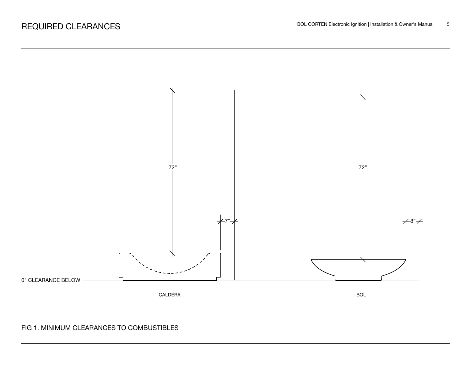

### FIG 1. MINIMUM CLEARANCES TO COMBUSTIBLES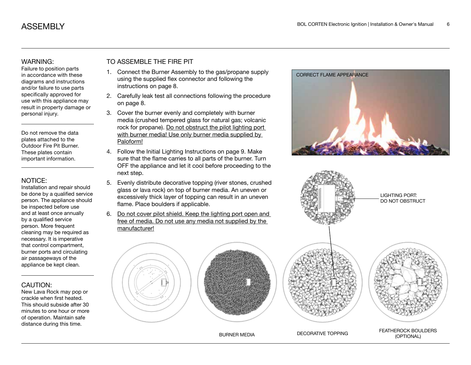#### WARNING:

Failure to position parts in accordance with these diagrams and instructions and/or failure to use parts specifically approved for use with this appliance may result in property damage or personal injury.

Do not remove the data plates attached to the Outdoor Fire Pit Burner. These plates contain important information.

#### NOTICE:

Installation and repair should be done by a qualified service person. The appliance should be inspected before use and at least once annually by a qualified service person. More frequent cleaning may be required as necessary. It is imperative that control compartment, burner ports and circulating air passageways of the appliance be kept clean.

#### CAUTION:

New Lava Rock may pop or crackle when first heated. This should subside after 30 minutes to one hour or more of operation. Maintain safe distance during this time.

#### TO ASSEMBLE THE FIRE PIT

- 1. Connect the Burner Assembly to the gas/propane supply using the supplied flex connector and following the instructions on page 8.
- 2. Carefully leak test all connections following the procedure on page 8.
- 3. Cover the burner evenly and completely with burner media (crushed tempered glass for natural gas; volcanic rock for propane). Do not obstruct the pilot lighting port with burner media! Use only burner media supplied by Paloform!
- 4. Follow the Initial Lighting Instructions on page 9. Make sure that the flame carries to all parts of the burner. Turn OFF the appliance and let it cool before proceeding to the next step.
- 5. Evenly distribute decorative topping (river stones, crushed glass or lava rock) on top of burner media. An uneven or excessively thick layer of topping can result in an uneven flame. Place boulders if applicable.
- 6. Do not cover pilot shield. Keep the lighting port open and free of media. Do not use any media not supplied by the manufacturer!







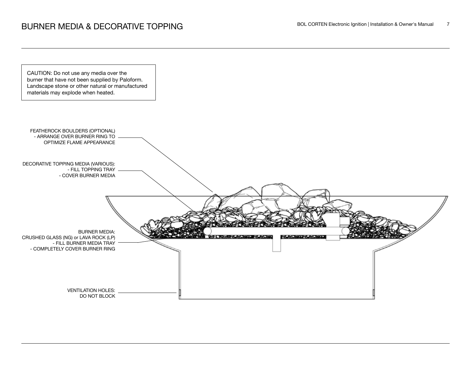

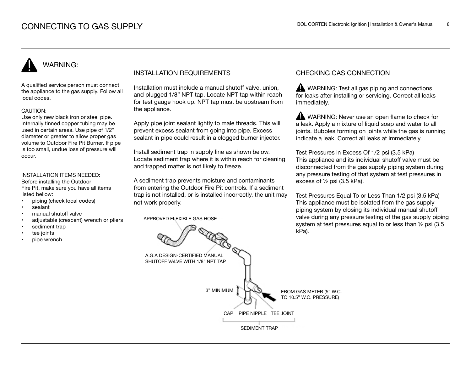# WARNING:

A qualified service person must connect the appliance to the gas supply. Follow all local codes.

#### CAUTION:

Use only new black iron or steel pipe. Internally tinned copper tubing may be used in certain areas. Use pipe of 1/2" diameter or greater to allow proper gas volume to Outdoor Fire Pit Burner. If pipe is too small, undue loss of pressure will occur.

#### INSTALLATION ITEMS NEEDED:

Before installing the Outdoor Fire Pit, make sure you have all items listed bellow:

- piping (check local codes)
- sealant
- manual shutoff valve
- adjustable (crescent) wrench or pliers
- sediment trap
- tee joints
- pipe wrench

#### INSTALLATION REQUIREMENTS

Installation must include a manual shutoff valve, union, and plugged 1/8" NPT tap. Locate NPT tap within reach for test gauge hook up. NPT tap must be upstream from the appliance.

Apply pipe joint sealant lightly to male threads. This will prevent excess sealant from going into pipe. Excess sealant in pipe could result in a clogged burner injector.

Install sediment trap in supply line as shown below. Locate sediment trap where it is within reach for cleaning and trapped matter is not likely to freeze.

A sediment trap prevents moisture and contaminants from entering the Outdoor Fire Pit controls. If a sediment trap is not installed, or is installed incorrectly, the unit may not work properly.

APPROVED FLEXIBLE GAS HOSE

#### CHECKING GAS CONNECTION

WARNING: Test all gas piping and connections for leaks after installing or servicing. Correct all leaks immediately.

WARNING: Never use an open flame to check for a leak. Apply a mixture of liquid soap and water to all joints. Bubbles forming on joints while the gas is running indicate a leak. Correct all leaks at immediately.

Test Pressures in Excess Of 1/2 psi (3.5 kPa) This appliance and its individual shutoff valve must be disconnected from the gas supply piping system during any pressure testing of that system at test pressures in excess of ½ psi (3.5 kPa).

Test Pressures Equal To or Less Than 1/2 psi (3.5 kPa) This appliance must be isolated from the gas supply piping system by closing its individual manual shutoff valve during any pressure testing of the gas supply piping system at test pressures equal to or less than ½ psi (3.5 kPa).

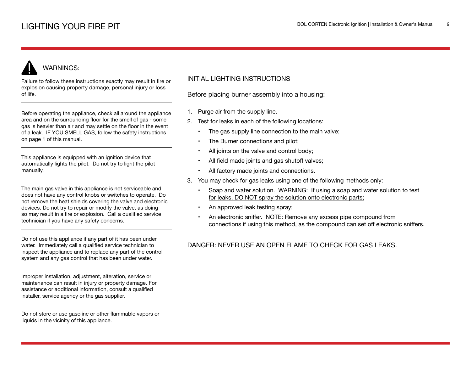# WARNINGS:

Failure to follow these instructions exactly may result in fire or explosion causing property damage, personal injury or loss of life.

Before operating the appliance, check all around the appliance area and on the surrounding floor for the smell of gas - some gas is heavier than air and may settle on the floor in the event of a leak. IF YOU SMELL GAS, follow the safety instructions on page 1 of this manual.

This appliance is equipped with an ignition device that automatically lights the pilot. Do not try to light the pilot manually.

The main gas valve in this appliance is not serviceable and does not have any control knobs or switches to operate. Do not remove the heat shields covering the valve and electronic devices. Do not try to repair or modify the valve, as doing so may result in a fire or explosion. Call a qualified service technician if you have any safety concerns.

Do not use this appliance if any part of it has been under water. Immediately call a qualified service technician to inspect the appliance and to replace any part of the control system and any gas control that has been under water.

Improper installation, adjustment, alteration, service or maintenance can result in injury or property damage. For assistance or additional information, consult a qualified installer, service agency or the gas supplier.

Do not store or use gasoline or other flammable vapors or liquids in the vicinity of this appliance.

#### INITIAL LIGHTING INSTRUCTIONS

Before placing burner assembly into a housing:

- 1. Purge air from the supply line.
- 2. Test for leaks in each of the following locations:
	- The gas supply line connection to the main valve;
	- The Burner connections and pilot;
	- All joints on the valve and control body;
	- All field made joints and gas shutoff valves;
	- All factory made joints and connections.
- 3. You may check for gas leaks using one of the following methods only:
	- Soap and water solution. WARNING: If using a soap and water solution to test for leaks, DO NOT spray the solution onto electronic parts;
	- An approved leak testing spray;
	- An electronic sniffer. NOTE: Remove any excess pipe compound from connections if using this method, as the compound can set off electronic sniffers.

#### DANGER: NEVER USE AN OPEN FLAME TO CHECK FOR GAS LEAKS.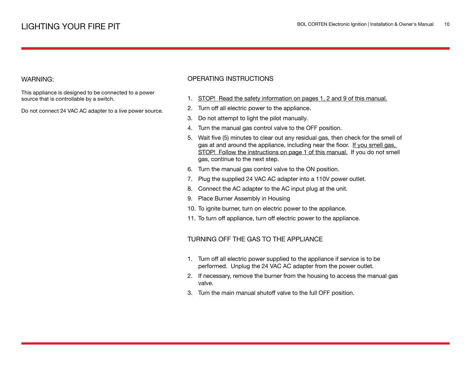#### WARNING:

This appliance is designed to be connected to a power source that is controllable by a switch.

Do not connect 24 VAC AC adapter to a live power source.

#### OPERATING INSTRUCTIONS

- 1. STOP! Read the safety information on pages 1, 2 and 9 of this manual.
- 2. Turn off all electric power to the appliance.
- 3. Do not attempt to light the pilot manually.
- 4. Turn the manual gas control valve to the OFF position.
- 5. Wait five (5) minutes to clear out any residual gas, then check for the smell of gas at and around the appliance, including near the floor. If you smell gas, STOP! Follow the instructions on page 1 of this manual. If you do not smell gas, continue to the next step.
- 6. Turn the manual gas control valve to the ON position.
- 7. Plug the supplied 24 VAC AC adapter into a 110V power outlet.
- 8. Connect the AC adapter to the AC input plug at the unit.
- 9. Place Burner Assembly in Housing
- 10. To ignite burner, turn on electric power to the appliance.
- 11. To turn off appliance, turn off electric power to the appliance.

#### TURNING OFF THE GAS TO THE APPLIANCE

- 1. Turn off all electric power supplied to the appliance if service is to be performed. Unplug the 24 VAC AC adapter from the power outlet.
- 2. If necessary, remove the burner from the housing to access the manual gas valve.
- 3. Turn the main manual shutoff valve to the full OFF position.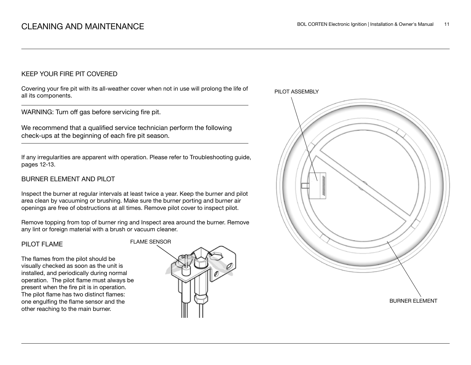#### KEEP YOUR FIRE PIT COVERED

Covering your fire pit with its all-weather cover when not in use will prolong the life of all its components.

WARNING: Turn off gas before servicing fire pit.

We recommend that a qualified service technician perform the following check-ups at the beginning of each fire pit season.

If any irregularities are apparent with operation. Please refer to Troubleshooting guide, pages 12-13.

#### BURNER ELEMENT AND PILOT

Inspect the burner at regular intervals at least twice a year. Keep the burner and pilot area clean by vacuuming or brushing. Make sure the burner porting and burner air openings are free of obstructions at all times. Remove pilot cover to inspect pilot.

Remove topping from top of burner ring and Inspect area around the burner. Remove any lint or foreign material with a brush or vacuum cleaner.

#### PILOT FLAME

The flames from the pilot should be visually checked as soon as the unit is installed, and periodically during normal operation. The pilot flame must always be present when the fire pit is in operation. The pilot flame has two distinct flames: one engulfing the flame sensor and the other reaching to the main burner.



PILOT ASSEMBLY

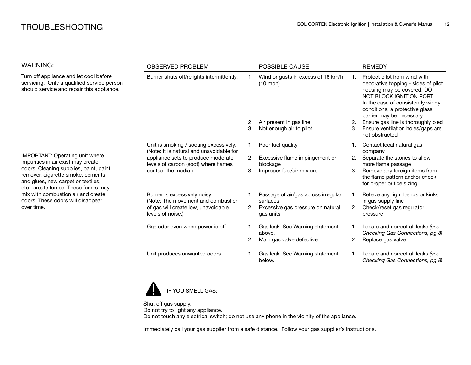| <b>WARNING:</b>                                                                                                                                          | <b>OBSERVED PROBLEM</b>                                                                                                                                                                 |                | <b>POSSIBLE CAUSE</b>                             |    | <b>REMEDY</b>                                                                                                                                                                                                                     |
|----------------------------------------------------------------------------------------------------------------------------------------------------------|-----------------------------------------------------------------------------------------------------------------------------------------------------------------------------------------|----------------|---------------------------------------------------|----|-----------------------------------------------------------------------------------------------------------------------------------------------------------------------------------------------------------------------------------|
| Turn off appliance and let cool before<br>servicing. Only a qualified service person<br>should service and repair this appliance.                        | Burner shuts off/relights intermittently.                                                                                                                                               |                | Wind or gusts in excess of 16 km/h<br>$(10$ mph). | 1. | Protect pilot from wind with<br>decorative topping - sides of pilot<br>housing may be covered. DO<br>NOT BLOCK IGNITION PORT.<br>In the case of consistently windy<br>conditions, a protective glass<br>barrier may be necessary. |
|                                                                                                                                                          |                                                                                                                                                                                         | 2.             | Air present in gas line                           | 2. | Ensure gas line is thoroughly bled                                                                                                                                                                                                |
|                                                                                                                                                          |                                                                                                                                                                                         | 3.             | Not enough air to pilot                           | 3. | Ensure ventilation holes/gaps are<br>not obstructed                                                                                                                                                                               |
|                                                                                                                                                          | Unit is smoking / sooting excessively.<br>(Note: It is natural and unavoidable for<br>appliance sets to produce moderate<br>levels of carbon (soot) where flames<br>contact the media.) | 1.             | Poor fuel quality                                 |    | Contact local natural gas<br>company                                                                                                                                                                                              |
| <b>IMPORTANT: Operating unit where</b><br>impurities in air exist may create                                                                             |                                                                                                                                                                                         | 2.             | Excessive flame impingement or<br>blockage        | 2. | Separate the stones to allow<br>more flame passage                                                                                                                                                                                |
| odors. Cleaning supplies, paint, paint<br>remover, cigarette smoke, cements<br>and glues, new carpet or textiles,<br>etc., create fumes. These fumes may |                                                                                                                                                                                         | 3.             | Improper fuel/air mixture                         | 3. | Remove any foreign items from<br>the flame pattern and/or check<br>for proper orifice sizing                                                                                                                                      |
| mix with combustion air and create<br>odors. These odors will disappear                                                                                  | Burner is excessively noisy<br>(Note: The movement and combustion                                                                                                                       | $\mathbf{1}$ . | Passage of air/gas across irregular<br>surfaces   |    | Relieve any tight bends or kinks<br>in gas supply line                                                                                                                                                                            |
| over time.                                                                                                                                               | of gas will create low, unavoidable<br>levels of noise.)                                                                                                                                | 2.             | Excessive gas pressure on natural<br>gas units    | 2. | Check/reset gas regulator<br>pressure                                                                                                                                                                                             |
|                                                                                                                                                          | Gas odor even when power is off                                                                                                                                                         | 1.             | Gas leak. See Warning statement<br>above.         |    | Locate and correct all leaks (see<br>Checking Gas Connections, pg 8)                                                                                                                                                              |
|                                                                                                                                                          |                                                                                                                                                                                         | 2.             | Main gas valve defective.                         | 2. | Replace gas valve                                                                                                                                                                                                                 |
|                                                                                                                                                          | Unit produces unwanted odors                                                                                                                                                            | 1.             | Gas leak. See Warning statement<br>below.         |    | Locate and correct all leaks (see<br>Checking Gas Connections, pg 8)                                                                                                                                                              |



Shut off gas supply. Do not try to light any appliance. Do not touch any electrical switch; do not use any phone in the vicinity of the appliance.

Immediately call your gas supplier from a safe distance. Follow your gas supplier's instructions.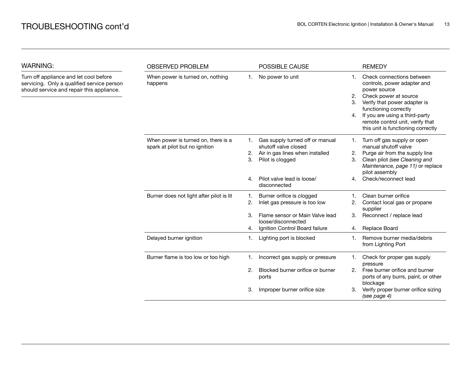WARNING:

| WARNING:                                                                                                                          | <b>OBSERVED PROBLEM</b>                                               |                | POSSIBLE CAUSE                                                                                                 |                      | <b>REMEDY</b>                                                                                                                                                                                                                                                          |
|-----------------------------------------------------------------------------------------------------------------------------------|-----------------------------------------------------------------------|----------------|----------------------------------------------------------------------------------------------------------------|----------------------|------------------------------------------------------------------------------------------------------------------------------------------------------------------------------------------------------------------------------------------------------------------------|
| Turn off appliance and let cool before<br>servicing. Only a qualified service person<br>should service and repair this appliance. | When power is turned on, nothing<br>happens                           | 1.             | No power to unit                                                                                               | 1.<br>2.<br>3.<br>4. | Check connections between<br>controls, power adapter and<br>power source<br>Check power at source<br>Verify that power adapter is<br>functioning correctly<br>If you are using a third-party<br>remote control unit, verify that<br>this unit is functioning correctly |
|                                                                                                                                   | When power is turned on, there is a<br>spark at pilot but no ignition | 1.<br>2.<br>3. | Gas supply turned off or manual<br>shutoff valve closed<br>Air in gas lines when installed<br>Pilot is clogged | 1.<br>2.<br>3.       | Turn off gas supply or open<br>manual shutoff valve<br>Purge air from the supply line<br>Clean pilot (see Cleaning and<br>Maintenance, page 11) or replace<br>pilot assembly                                                                                           |
|                                                                                                                                   |                                                                       | 4.             | Pilot valve lead is loose/<br>disconnected                                                                     | 4.                   | Check/reconnect lead                                                                                                                                                                                                                                                   |
|                                                                                                                                   | Burner does not light after pilot is lit                              | 1.<br>2.       | Burner orifice is clogged<br>Inlet gas pressure is too low                                                     | 2.                   | Clean burner orifice<br>Contact local gas or propane<br>supplier                                                                                                                                                                                                       |
|                                                                                                                                   |                                                                       | 3.<br>4.       | Flame sensor or Main Valve lead<br>loose/disconnected<br>Ignition Control Board failure                        | 3.<br>4.             | Reconnect / replace lead<br>Replace Board                                                                                                                                                                                                                              |
|                                                                                                                                   | Delayed burner ignition                                               | 1.             | Lighting port is blocked                                                                                       | 1.                   | Remove burner media/debris<br>from Lighting Port                                                                                                                                                                                                                       |
|                                                                                                                                   | Burner flame is too low or too high                                   | 1.             | Incorrect gas supply or pressure                                                                               | 1.                   | Check for proper gas supply<br>pressure                                                                                                                                                                                                                                |
|                                                                                                                                   |                                                                       | 2.             | Blocked burner orifice or burner<br>ports                                                                      | 2.                   | Free burner orifice and burner<br>ports of any burrs, paint, or other<br>blockage                                                                                                                                                                                      |
|                                                                                                                                   |                                                                       | 3.             | Improper burner orifice size                                                                                   | З.                   | Verify proper burner orifice sizing<br>(see page 4)                                                                                                                                                                                                                    |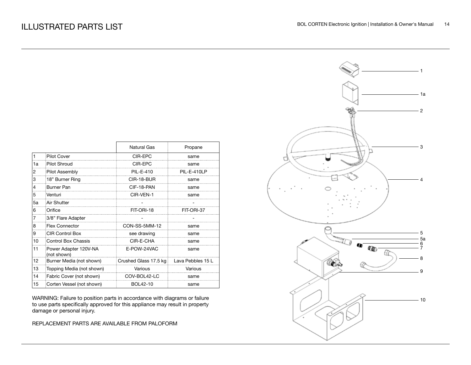|    |                                      | <b>Natural Gas</b>    | Propane           |
|----|--------------------------------------|-----------------------|-------------------|
| 1  | <b>Pilot Cover</b>                   | CIR-EPC               | same              |
| 1a | Pilot Shroud                         | CIR-FPC               | same              |
| 2  | Pilot Assembly                       | PIL-E-410             | PIL-E-410LP       |
| 3  | 18" Burner Ring                      | CIR-18-BUR            | same              |
| 4  | Burner Pan                           | CIF-18-PAN            | same              |
| 5  | Venturi                              | CIR-VEN-1             | same              |
| 5a | Air Shutter                          |                       |                   |
| 6  | Orifice                              | FIT-ORI-18            | FIT-ORI-37        |
|    | 3/8" Flare Adapter                   |                       |                   |
| 8  | <b>Flex Connector</b>                | CON-SS-5MM-12         | same              |
| 9  | <b>CIR Control Box</b>               | see drawing           | same              |
| 10 | Control Box Chassis                  | CIR-E-CHA             | same              |
| 11 | Power Adapter 120V-NA<br>(not shown) | E-POW-24VAC           | same              |
| 12 | Burner Media (not shown)             | Crushed Glass 17.5 kg | Lava Pebbles 15 L |
| 13 | Topping Media (not shown)            | Various               | Various           |
| 14 | Fabric Cover (not shown)             | COV-BOL42-LC          | same              |
| 15 | Corten Vessel (not shown)            | BOL42-10              | same              |

WARNING: Failure to position parts in accordance with diagrams or failure to use parts specifically approved for this appliance may result in property damage or personal injury.

REPLACEMENT PARTS ARE AVAILABLE FROM PALOFORM

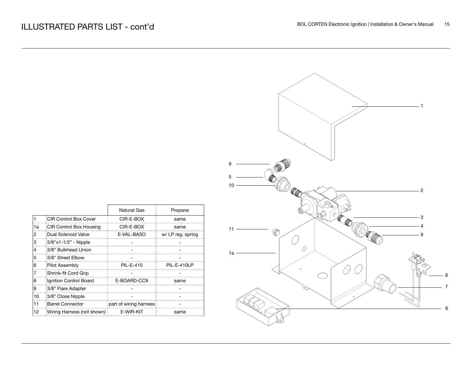|                   |                   | 9<br>5                            |
|-------------------|-------------------|-----------------------------------|
|                   |                   | 10 <sub>1</sub><br>$\overline{c}$ |
| Natural Gas       | Propane           |                                   |
| CIR-E-BOX         | same              | 3                                 |
| CIR-E-BOX         | same              | $11 -$                            |
| E-VAL-BASO        | w/ LP reg. spring | €<br>9                            |
|                   |                   |                                   |
|                   |                   | 0<br>1a                           |
|                   |                   |                                   |
| PIL-E-410         | PIL-E-410LP       |                                   |
|                   |                   |                                   |
| BOARD-CC9         | same              |                                   |
|                   |                   |                                   |
|                   | ۰                 |                                   |
| of wiring harness |                   |                                   |
| E-WIR-KIT         | same              |                                   |
|                   |                   |                                   |

|    |                            | ivatural Gas           | Propane          |
|----|----------------------------|------------------------|------------------|
|    | CIR Control Box Cover      | CIR-E-BOX              | same             |
| 1a | CIR Control Box Housing    | CIR-E-BOX              | same             |
| 2  | Dual Solenoid Valve        | E-VAL-BASO             | w/LP reg. spring |
| 3  | 3/8"x1-1/2" - Nipple       |                        |                  |
| 4  | 3/8" Bulkhead Union        |                        |                  |
| 5  | 3/8" Street Elbow          |                        |                  |
| 6  | Pilot Assembly             | PII -F-410             | PIL-F-410LP      |
|    | Shrink-fit Cord Grip       |                        |                  |
| 8  | Ignition Control Board     | E-BOARD-CC9            | same             |
| 9  | 3/8" Flare Adapter         |                        |                  |
| 10 | 3/8" Close Nipple          |                        |                  |
| 11 | <b>Barrel Connector</b>    | part of wiring harness |                  |
| 12 | Wiring Harness (not shown) | E-WIR-KIT              | same             |
|    |                            |                        |                  |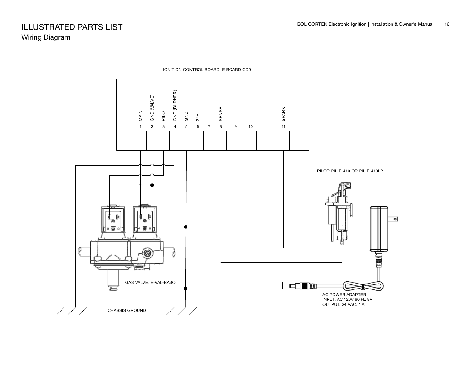

IGNITION CONTROL BOARD: E-BOARD-CC9